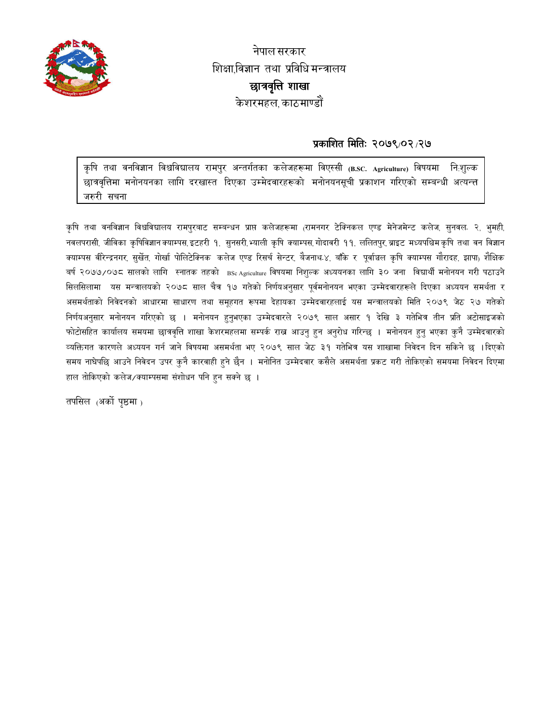

नेपाल सरकार शिक्षाविज्ञान तथा प्रविधि मन्त्रालय छात्रवृत्ति शाखा केशरमहल काठमाण्डौं

## प्रकाशित मितिः २०७९/०२/२७

कृषि तथा वनविज्ञान विश्वविद्यालय रामपुर अन्तर्गतका कलेजहरूमा विएस्सी (B.SC. Agriculture) विषयमा निःशुल्क छात्रवृत्तिमा मनोनयनका लागि दरखास्त दिएका उम्मेदवारहरूको मनोनयनसूची प्रकाशन गरिएको सम्बन्धी अत्यन्त्त जरुरी सचना

कृषि तथा वनविज्ञान विश्वविद्यालय रामपुरबाट सम्बन्धन प्राप्त कलेजहरूमा (रामनगर टेक्निकल एण्ड मेनेजमेन्ट कलेज, सुनवल २, भुमही, नवलपरासी, जीविका कृषिविज्ञानक्याम्पस,इटहरी १, सुनसरी,भ्याली कृषि क्याम्पस,गोदावरी ११, ललितपुर,ब्राइट मध्यपश्चिमकृषि तथा वन विज्ञान क्याम्पस वीरेन्द्रनगर, सुर्खेत, गोर्खा पोलिटेक्निक कलेज एण्ड रिसर्च सेन्टर, बैजनाथ-४, बाँके र पूर्वाञ्चल कृषि क्याम्पस गौरादह, झापा<sub>)</sub> शैक्षिक बर्ष २०७७/०७८ सालको लागि स्नातक तहको BSc Agriculture विषयमा निशुल्क अध्ययनका लागि ३० जना विद्यार्थी मनोनयन गरी पठाउने सिलसिलामा यस मन्त्रालयको २०७८ साल चैत्र १७ गतेको निर्णयअनुसार पूर्वमनोनयन भएका उम्मेदवारहरूले दिएका अध्ययन समर्थता र असमर्थताको निवेदनको आधारमा साधारण तथा समूहगत रूपमा देहायका उम्मेदवारहलाई यस मन्त्रालयको मिति २०७९ जेठ २७ गतेको निर्णयअनुसार मनोनयन गरिएको छ । मनोनयन हुनुभएका उम्मेदवारले २०७९ साल असार १ देखि ३ गतेभित्र तीन प्रति अटोसाइजको फोटोसहित कार्यालय समयमा छात्रवृत्ति शाखा केशरमहलमा सम्पर्क राख आउनु हुन अनुरोध गरिन्छ । मनोनयन हुनु भएका कुनै उम्मेदवारको व्यक्तिगत कारणले अध्ययन गर्न जाने विषयमा असमर्थता भए २०७९ साल जेठ ३१ गतेभित्र यस शाखामा निवेदन दिन सकिने छ ।दिएको समय नाघेपछि आउने निवेदन उपर कुनै कारवाही हुने छैन । मनोनित उम्मेदवार कसैले असमर्थता प्रकट गरी तोकिएको समयमा निवेदन दिएमा हाल तोकिएको कलेज/क्याम्पसमा संशोधन पनि हुन सक्ने छ ।

तपसिल (अर्को पृष्ठमा )